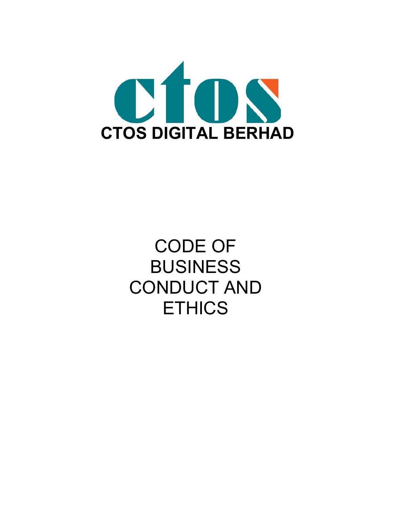

CODE OF BUSINESS CONDUCT AND **ETHICS**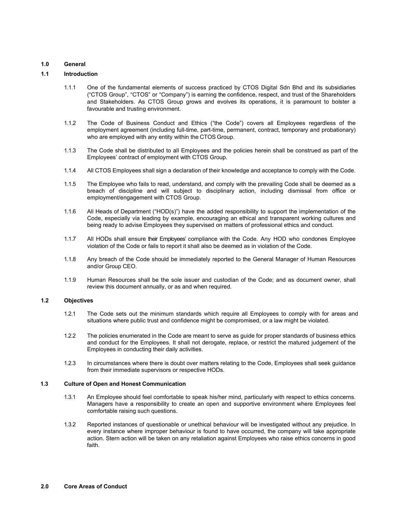## **1.0 General**

## **1.1 Introduction**

- 1.1.1 One of the fundamental elements of success practiced by CTOS Digital Sdn Bhd and its subsidiaries ("CTOS Group", "CTOS" or "Company") is earning the confidence, respect, and trust of the Shareholders and Stakeholders. As CTOS Group grows and evolves its operations, it is paramount to bolster a favourable and trusting environment.
- 1.1.2 The Code of Business Conduct and Ethics ("the Code") covers all Employees regardless of the employment agreement (including full-time, part-time, permanent, contract, temporary and probationary) who are employed with any entity within the CTOS Group.
- 1.1.3 The Code shall be distributed to all Employees and the policies herein shall be construed as part of the Employees' contract of employment with CTOS Group.
- 1.1.4 All CTOS Employees shall sign a declaration of their knowledge and acceptance to comply with the Code.
- 1.1.5 The Employee who fails to read, understand, and comply with the prevailing Code shall be deemed as a breach of discipline and will subject to disciplinary action, including dismissal from office or employment/engagement with CTOS Group.
- 1.1.6 All Heads of Department ("HOD(s)") have the added responsibility to support the implementation of the Code, especially via leading by example, encouraging an ethical and transparent working cultures and being ready to advise Employees they supervised on matters of professional ethics and conduct.
- 1.1.7 All HODs shall ensure their Employees' compliance with the Code. Any HOD who condones Employee violation of the Code or fails to report it shall also be deemed as in violation of the Code.
- 1.1.8 Any breach of the Code should be immediately reported to the General Manager of Human Resources and/or Group CEO.
- 1.1.9 Human Resources shall be the sole issuer and custodian of the Code; and as document owner, shall review this document annually, or as and when required.

## **1.2 Objectives**

- 1.2.1 The Code sets out the minimum standards which require all Employees to comply with for areas and situations where public trust and confidence might be compromised, or a law might be violated.
- 1.2.2 The policies enumerated in the Code are meant to serve as guide for proper standards of business ethics and conduct for the Employees. It shall not derogate, replace, or restrict the matured judgement of the Employees in conducting their daily activities.
- 1.2.3 In circumstances where there is doubt over matters relating to the Code, Employees shall seek guidance from their immediate supervisors or respective HODs.

#### **1.3 Culture of Open and Honest Communication**

- 1.3.1 An Employee should feel comfortable to speak his/her mind, particularly with respect to ethics concerns. Managers have a responsibility to create an open and supportive environment where Employees feel comfortable raising such questions.
- 1.3.2 Reported instances of questionable or unethical behaviour will be investigated without any prejudice. In every instance where improper behaviour is found to have occurred, the company will take appropriate action. Stern action will be taken on any retaliation against Employees who raise ethics concerns in good faith.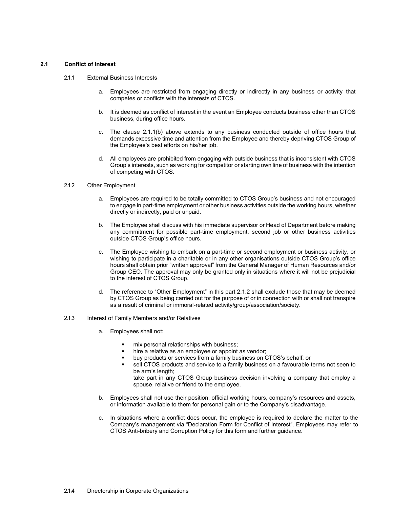## **2.1 Conflict of Interest**

- 2.1.1 External Business Interests
	- a. Employees are restricted from engaging directly or indirectly in any business or activity that competes or conflicts with the interests of CTOS.
	- b. It is deemed as conflict of interest in the event an Employee conducts business other than CTOS business, during office hours.
	- c. The clause 2.1.1(b) above extends to any business conducted outside of office hours that demands excessive time and attention from the Employee and thereby depriving CTOS Group of the Employee's best efforts on his/her job.
	- d. All employees are prohibited from engaging with outside business that is inconsistent with CTOS Group's interests, such as working for competitor or starting own line of business with the intention of competing with CTOS.

### 2.1.2 Other Employment

- a. Employees are required to be totally committed to CTOS Group's business and not encouraged to engage in part-time employment or other business activities outside the working hours, whether directly or indirectly, paid or unpaid.
- b. The Employee shall discuss with his immediate supervisor or Head of Department before making any commitment for possible part-time employment, second job or other business activities outside CTOS Group's office hours.
- c. The Employee wishing to embark on a part-time or second employment or business activity, or wishing to participate in a charitable or in any other organisations outside CTOS Group's office hours shall obtain prior "written approval" from the General Manager of Human Resources and/or Group CEO. The approval may only be granted only in situations where it will not be prejudicial to the interest of CTOS Group.
- d. The reference to "Other Employment" in this part 2.1.2 shall exclude those that may be deemed by CTOS Group as being carried out for the purpose of or in connection with or shall not transpire as a result of criminal or immoral-related activity/group/association/society.
- 2.1.3 Interest of Family Members and/or Relatives
	- a. Employees shall not:
		- mix personal relationships with business;
		- hire a relative as an employee or appoint as vendor;
		- buy products or services from a family business on CTOS's behalf; or
		- sell CTOS products and service to a family business on a favourable terms not seen to be arm's length; take part in any CTOS Group business decision involving a company that employ a

spouse, relative or friend to the employee.

- b. Employees shall not use their position, official working hours, company's resources and assets, or information available to them for personal gain or to the Company's disadvantage.
- In situations where a conflict does occur, the employee is required to declare the matter to the Company's management via "Declaration Form for Conflict of Interest". Employees may refer to CTOS Anti-bribery and Corruption Policy for this form and further guidance.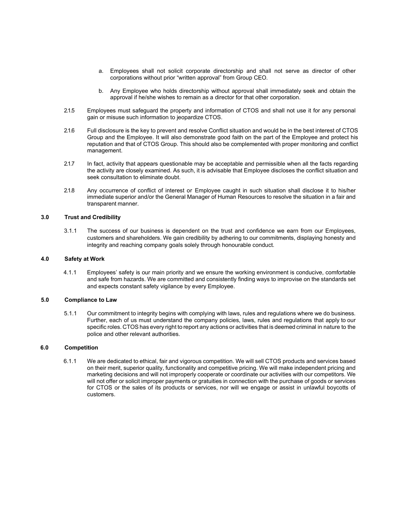- a. Employees shall not solicit corporate directorship and shall not serve as director of other corporations without prior "written approval" from Group CEO.
- b. Any Employee who holds directorship without approval shall immediately seek and obtain the approval if he/she wishes to remain as a director for that other corporation.
- 2.1.5 Employees must safeguard the property and information of CTOS and shall not use it for any personal gain or misuse such information to jeopardize CTOS.
- 2.1.6 Full disclosure is the key to prevent and resolve Conflict situation and would be in the best interest of CTOS Group and the Employee. It will also demonstrate good faith on the part of the Employee and protect his reputation and that of CTOS Group. This should also be complemented with proper monitoring and conflict management.
- 2.1.7 In fact, activity that appears questionable may be acceptable and permissible when all the facts regarding the activity are closely examined. As such, it is advisable that Employee discloses the conflict situation and seek consultation to eliminate doubt.
- 2.1.8 Any occurrence of conflict of interest or Employee caught in such situation shall disclose it to his/her immediate superior and/or the General Manager of Human Resources to resolve the situation in a fair and transparent manner.

## **3.0 Trust and Credibility**

3.1.1 The success of our business is dependent on the trust and confidence we earn from our Employees, customers and shareholders. We gain credibility by adhering to our commitments, displaying honesty and integrity and reaching company goals solely through honourable conduct.

#### **4.0 Safety at Work**

4.1.1 Employees' safety is our main priority and we ensure the working environment is conducive, comfortable and safe from hazards. We are committed and consistently finding ways to improvise on the standards set and expects constant safety vigilance by every Employee.

## **5.0 Compliance to Law**

5.1.1 Our commitment to integrity begins with complying with laws, rules and regulations where we do business. Further, each of us must understand the company policies, laws, rules and regulations that apply to our specific roles. CTOS has every right to report any actions or activities that is deemed criminal in nature to the police and other relevant authorities.

#### **6.0 Competition**

6.1.1 We are dedicated to ethical, fair and vigorous competition. We will sell CTOS products and services based on their merit, superior quality, functionality and competitive pricing. We will make independent pricing and marketing decisions and will not improperly cooperate or coordinate our activities with our competitors. We will not offer or solicit improper payments or gratuities in connection with the purchase of goods or services for CTOS or the sales of its products or services, nor will we engage or assist in unlawful boycotts of customers.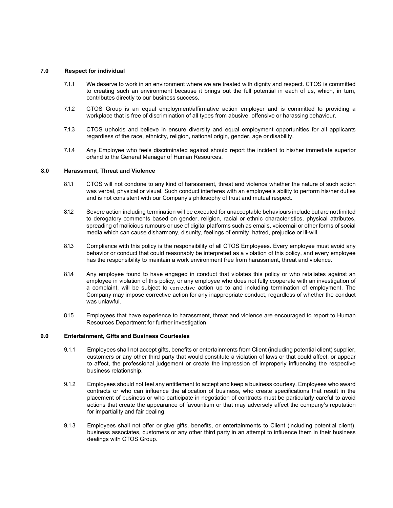## **7.0 Respect for individual**

- 7.1.1 We deserve to work in an environment where we are treated with dignity and respect. CTOS is committed to creating such an environment because it brings out the full potential in each of us, which, in turn, contributes directly to our business success.
- 7.1.2 CTOS Group is an equal employment/affirmative action employer and is committed to providing a workplace that is free of discrimination of all types from abusive, offensive or harassing behaviour.
- 7.1.3 CTOS upholds and believe in ensure diversity and equal employment opportunities for all applicants regardless of the race, ethnicity, religion, national origin, gender, age or disability.
- 7.1.4 Any Employee who feels discriminated against should report the incident to his/her immediate superior or/and to the General Manager of Human Resources.

#### **8.0 Harassment, Threat and Violence**

- 8.1.1 CTOS will not condone to any kind of harassment, threat and violence whether the nature of such action was verbal, physical or visual. Such conduct interferes with an employee's ability to perform his/her duties and is not consistent with our Company's philosophy of trust and mutual respect.
- 8.1.2 Severe action including termination will be executed for unacceptable behaviours include but are not limited to derogatory comments based on gender, religion, racial or ethnic characteristics, physical attributes, spreading of malicious rumours or use of digital platforms such as emails, voicemail or other forms of social media which can cause disharmony, disunity, feelings of enmity, hatred, prejudice or ill-will.
- 8.1.3 Compliance with this policy is the responsibility of all CTOS Employees. Every employee must avoid any behavior or conduct that could reasonably be interpreted as a violation of this policy, and every employee has the responsibility to maintain a work environment free from harassment, threat and violence.
- 8.1.4 Any employee found to have engaged in conduct that violates this policy or who retaliates against an employee in violation of this policy, or any employee who does not fully cooperate with an investigation of a complaint, will be subject to corrective action up to and including termination of employment. The Company may impose corrective action for any inappropriate conduct, regardless of whether the conduct was unlawful.
- 8.1.5 Employees that have experience to harassment, threat and violence are encouraged to report to Human Resources Department for further investigation.

## **9.0 Entertainment, Gifts and Business Courtesies**

- 9.1.1 Employees shall not accept gifts, benefits or entertainments from Client (including potential client) supplier, customers or any other third party that would constitute a violation of laws or that could affect, or appear to affect, the professional judgement or create the impression of improperly influencing the respective business relationship.
- 9.1.2 Employees should not feel any entitlement to accept and keep a business courtesy. Employees who award contracts or who can influence the allocation of business, who create specifications that result in the placement of business or who participate in negotiation of contracts must be particularly careful to avoid actions that create the appearance of favouritism or that may adversely affect the company's reputation for impartiality and fair dealing.
- 9.1.3 Employees shall not offer or give gifts, benefits, or entertainments to Client (including potential client), business associates, customers or any other third party in an attempt to influence them in their business dealings with CTOS Group.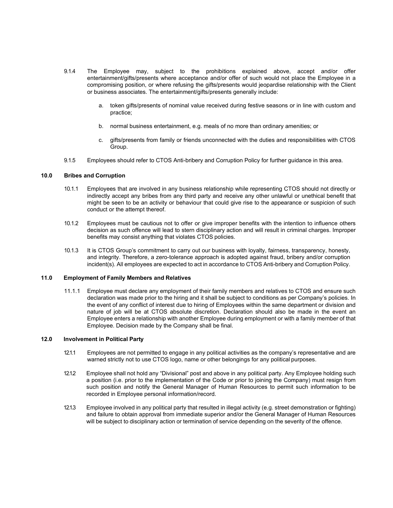- 9.1.4 The Employee may, subject to the prohibitions explained above, accept and/or offer entertainment/gifts/presents where acceptance and/or offer of such would not place the Employee in a compromising position, or where refusing the gifts/presents would jeopardise relationship with the Client or business associates. The entertainment/gifts/presents generally include:
	- a. token gifts/presents of nominal value received during festive seasons or in line with custom and practice;
	- b. normal business entertainment, e.g. meals of no more than ordinary amenities; or
	- c. gifts/presents from family or friends unconnected with the duties and responsibilities with CTOS Group.
- 9.1.5 Employees should refer to CTOS Anti-bribery and Corruption Policy for further guidance in this area.

### **10.0 Bribes and Corruption**

- 10.1.1 Employees that are involved in any business relationship while representing CTOS should not directly or indirectly accept any bribes from any third party and receive any other unlawful or unethical benefit that might be seen to be an activity or behaviour that could give rise to the appearance or suspicion of such conduct or the attempt thereof.
- 10.1.2 Employees must be cautious not to offer or give improper benefits with the intention to influence others decision as such offence will lead to stern disciplinary action and will result in criminal charges. Improper benefits may consist anything that violates CTOS policies.
- 10.1.3 It is CTOS Group's commitment to carry out our business with loyalty, fairness, transparency, honesty, and integrity. Therefore, a zero-tolerance approach is adopted against fraud, bribery and/or corruption incident(s). All employees are expected to act in accordance to CTOS Anti-bribery and Corruption Policy.

#### **11.0 Employment of Family Members and Relatives**

11.1.1 Employee must declare any employment of their family members and relatives to CTOS and ensure such declaration was made prior to the hiring and it shall be subject to conditions as per Company's policies. In the event of any conflict of interest due to hiring of Employees within the same department or division and nature of job will be at CTOS absolute discretion. Declaration should also be made in the event an Employee enters a relationship with another Employee during employment or with a family member of that Employee. Decision made by the Company shall be final.

## **12.0 Involvement in Political Party**

- 12.1.1 Employees are not permitted to engage in any political activities as the company's representative and are warned strictly not to use CTOS logo, name or other belongings for any political purposes.
- 12.1.2 Employee shall not hold any "Divisional" post and above in any political party. Any Employee holding such a position (i.e. prior to the implementation of the Code or prior to joining the Company) must resign from such position and notify the General Manager of Human Resources to permit such information to be recorded in Employee personal information/record.
- 12.1.3 Employee involved in any political party that resulted in illegal activity (e.g. street demonstration or fighting) and failure to obtain approval from immediate superior and/or the General Manager of Human Resources will be subject to disciplinary action or termination of service depending on the severity of the offence.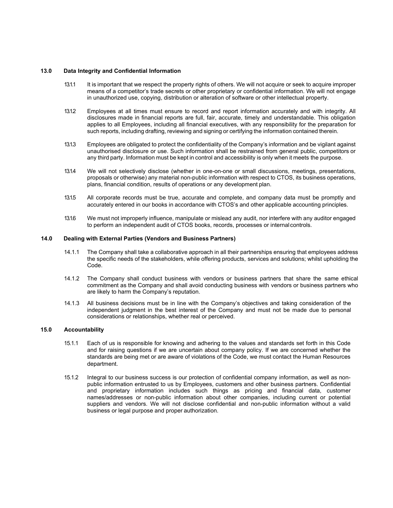## **13.0 Data Integrity and Confidential Information**

- 13.1.1 It is important that we respect the property rights of others. We will not acquire or seek to acquire improper means of a competitor's trade secrets or other proprietary or confidential information. We will not engage in unauthorized use, copying, distribution or alteration of software or other intellectual property.
- 13.1.2. Employees at all times must ensure to record and report information accurately and with integrity. All disclosures made in financial reports are full, fair, accurate, timely and understandable. This obligation applies to all Employees, including all financial executives, with any responsibility for the preparation for such reports, including drafting, reviewing and signing or certifying the information contained therein.
- 13.1.3 Employees are obligated to protect the confidentiality of the Company's information and be vigilant against unauthorised disclosure or use. Such information shall be restrained from general public, competitors or any third party. Information must be kept in control and accessibility is only when it meets the purpose.
- 13.1.4 We will not selectively disclose (whether in one-on-one or small discussions, meetings, presentations, proposals or otherwise) any material non-public information with respect to CTOS, its business operations, plans, financial condition, results of operations or any development plan.
- 13.1.5 All corporate records must be true, accurate and complete, and company data must be promptly and accurately entered in our books in accordance with CTOS's and other applicable accounting principles.
- 13.1.6 We must not improperly influence, manipulate or mislead any audit, nor interfere with any auditor engaged to perform an independent audit of CTOS books, records, processes or internalcontrols.

### **14.0 Dealing with External Parties (Vendors and Business Partners)**

- 14.1.1 The Company shall take a collaborative approach in all their partnerships ensuring that employees address the specific needs of the stakeholders, while offering products, services and solutions; whilst upholding the Code.
- 14.1.2 The Company shall conduct business with vendors or business partners that share the same ethical commitment as the Company and shall avoid conducting business with vendors or business partners who are likely to harm the Company's reputation.
- 14.1.3 All business decisions must be in line with the Company's objectives and taking consideration of the independent judgment in the best interest of the Company and must not be made due to personal considerations or relationships, whether real or perceived.

## **15.0 Accountability**

- 15.1.1 Each of us is responsible for knowing and adhering to the values and standards set forth in this Code and for raising questions if we are uncertain about company policy. If we are concerned whether the standards are being met or are aware of violations of the Code, we must contact the Human Resources department.
- 15.1.2 Integral to our business success is our protection of confidential company information, as well as nonpublic information entrusted to us by Employees, customers and other business partners. Confidential and proprietary information includes such things as pricing and financial data, customer names/addresses or non-public information about other companies, including current or potential suppliers and vendors. We will not disclose confidential and non-public information without a valid business or legal purpose and proper authorization.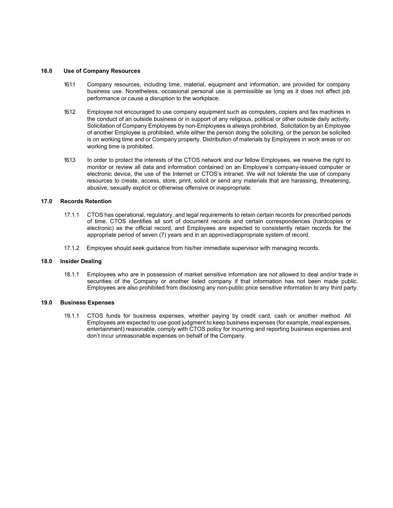### **16.0 Use of Company Resources**

- 16.1.1 Company resources, including time, material, equipment and information, are provided for company business use. Nonetheless, occasional personal use is permissible as long as it does not affect job performance or cause a disruption to the workplace.
- 16.1.2. Employee not encouraged to use company equipment such as computers, copiers and fax machines in the conduct of an outside business or in support of any religious, political or other outside daily activity. Solicitation of Company Employees by non-Employees is always prohibited. Solicitation by an Employee of another Employee is prohibited, while either the person doing the soliciting, or the person be solicited is on working time and or Company property. Distribution of materials by Employees in work areas or on working time is prohibited.
- 16.1.3 In order to protect the interests of the CTOS network and our fellow Employees, we reserve the right to monitor or review all data and information contained on an Employee's company-issued computer or electronic device, the use of the Internet or CTOS's intranet. We will not tolerate the use of company resources to create, access, store, print, solicit or send any materials that are harassing, threatening, abusive, sexually explicit or otherwise offensive or inappropriate.

# **17.0 Records Retention**

- 17.1.1 CTOS has operational, regulatory, and legal requirements to retain certain records for prescribed periods of time. CTOS identifies all sort of document records and certain correspondences (hardcopies or electronic) as the official record, and Employees are expected to consistently retain records for the appropriate period of seven (7) years and in an approved/appropriate system of record.
- 17.1.2 Employee should seek guidance from his/her immediate supervisor with managing records.

#### **18.0 Insider Dealing**

18.1.1 Employees who are in possession of market sensitive information are not allowed to deal and/or trade in securities of the Company or another listed company if that information has not been made public. Employees are also prohibited from disclosing any non-public price sensitive information to any third party.

#### **19.0 Business Expenses**

19.1.1 CTOS funds for business expenses, whether paying by credit card, cash or another method. All Employees are expected to use good judgment to keep business expenses (for example, meal expenses, entertainment) reasonable, comply with CTOS policy for incurring and reporting business expenses and don't incur unreasonable expenses on behalf of the Company.